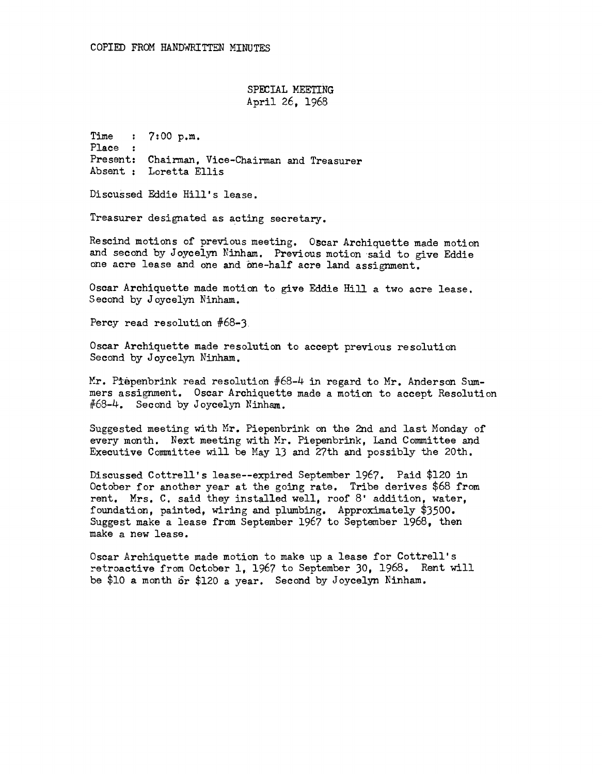SPECIAL MEETING April 26, 1968

Time Place : Present: Chairman, Vice-Chairman and Treasurer Absent : Loretta Ellis  $: 7:00 \text{ p.m.}$ 

Discussed Eddie Hill's lease.

Treasurer designated as acting secretary.

Rescind motions of previous meeting. Oscar Archiquette made motion and second by Joycelyn Ninham. Previous motion said to give Eddie one acre lease and one and one-half acre land assignment.

Oscar Archiquette made motion to give Eddie Hill a two acre lease, Second by Joycelyn Ninham.

Percy read resolution #68-3

Oscar Archiquette made resolution to accept previous resolution Second by Joycelyn Ninham.

Mr. Piepenbrink read resolution #68-4 in regard to Mr. Anderson Summers assignment. Oscar Archiquette made a motion to accept Resolution  $#68-4$ . Second by Joycelyn Ninham.

Suggested meeting with Hr. Piepenbrink on the 2nd and last Honday of every month. Next meeting with Mr. Piepenbrink, Land Committee and Executive Committee will be Hay 13 and 27th and possibly the 20th.

Discussed Cottrell's lease--expired September 1967. Paid \$120 in October for another year at the going rate. Tribe derives \$68 from rent. Mrs. C. said they installed well, roof 8' addition, water, foundation, painted, wiring and plumbing. Approximately \$3500. Suggest make a lease from September 1967 to September 1968, then make a new lease.

Oscar Archiquette made motion to make up a lease for Cottrell's ~etroactive from October 1, 1967 to September 30, 1968. Rent will be \$10 a month 6r \$120 a year. Second by Joycelyn Ninham.